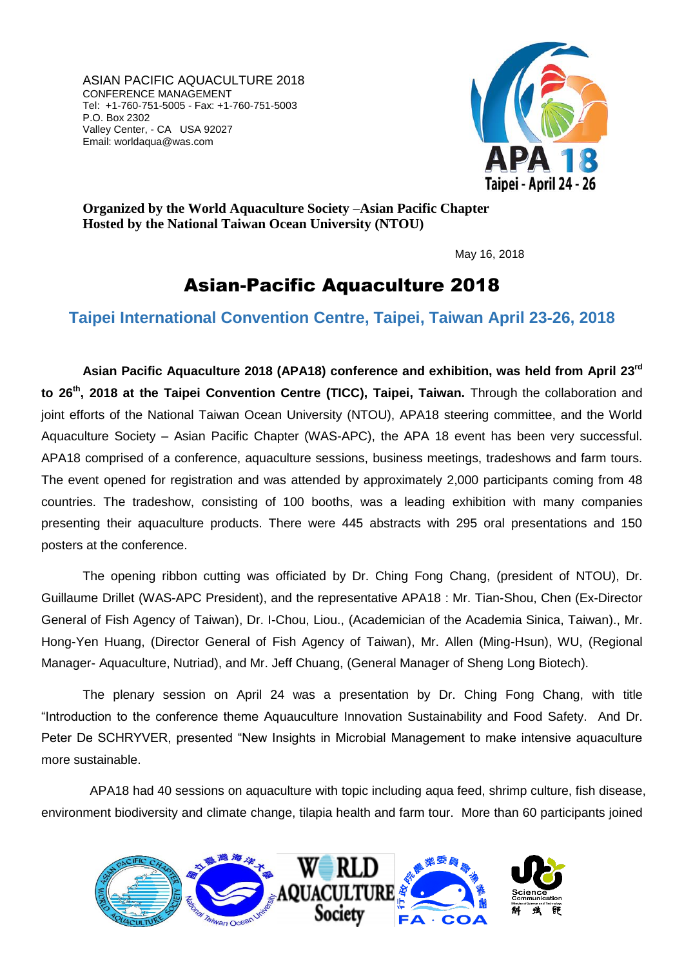ASIAN PACIFIC AQUACULTURE 2018 CONFERENCE MANAGEMENT Tel: +1-760-751-5005 - Fax: +1-760-751-5003 P.O. Box 2302 Valley Center, - CA USA 92027 Email: worldaqua@was.com



**Organized by the World Aquaculture Society –Asian Pacific Chapter Hosted by the National Taiwan Ocean University (NTOU)** 

May 16, 2018

# Asian-Pacific Aquaculture 2018

## **Taipei International Convention Centre, Taipei, Taiwan April 23-26, 2018**

**Asian Pacific Aquaculture 2018 (APA18) conference and exhibition, was held from April 23rd to 26th , 2018 at the Taipei Convention Centre (TICC), Taipei, Taiwan.** Through the collaboration and joint efforts of the National Taiwan Ocean University (NTOU), APA18 steering committee, and the World Aquaculture Society – Asian Pacific Chapter (WAS-APC), the APA 18 event has been very successful. APA18 comprised of a conference, aquaculture sessions, business meetings, tradeshows and farm tours. The event opened for registration and was attended by approximately 2,000 participants coming from 48 countries. The tradeshow, consisting of 100 booths, was a leading exhibition with many companies presenting their aquaculture products. There were 445 abstracts with 295 oral presentations and 150 posters at the conference.

The opening ribbon cutting was officiated by Dr. Ching Fong Chang, (president of NTOU), Dr. Guillaume Drillet (WAS-APC President), and the representative APA18 : Mr. Tian-Shou, Chen (Ex-Director General of Fish Agency of Taiwan), Dr. I-Chou, Liou., (Academician of the Academia Sinica, Taiwan)., Mr. Hong-Yen Huang, (Director General of Fish Agency of Taiwan), Mr. Allen (Ming-Hsun), WU, (Regional Manager- Aquaculture, Nutriad), and Mr. Jeff Chuang, (General Manager of Sheng Long Biotech).

The plenary session on April 24 was a presentation by Dr. Ching Fong Chang, with title "Introduction to the conference theme Aquauculture Innovation Sustainability and Food Safety. And Dr. Peter De SCHRYVER, presented "New Insights in Microbial Management to make intensive aquaculture more sustainable.

 APA18 had 40 sessions on aquaculture with topic including aqua feed, shrimp culture, fish disease, environment biodiversity and climate change, tilapia health and farm tour. More than 60 participants joined

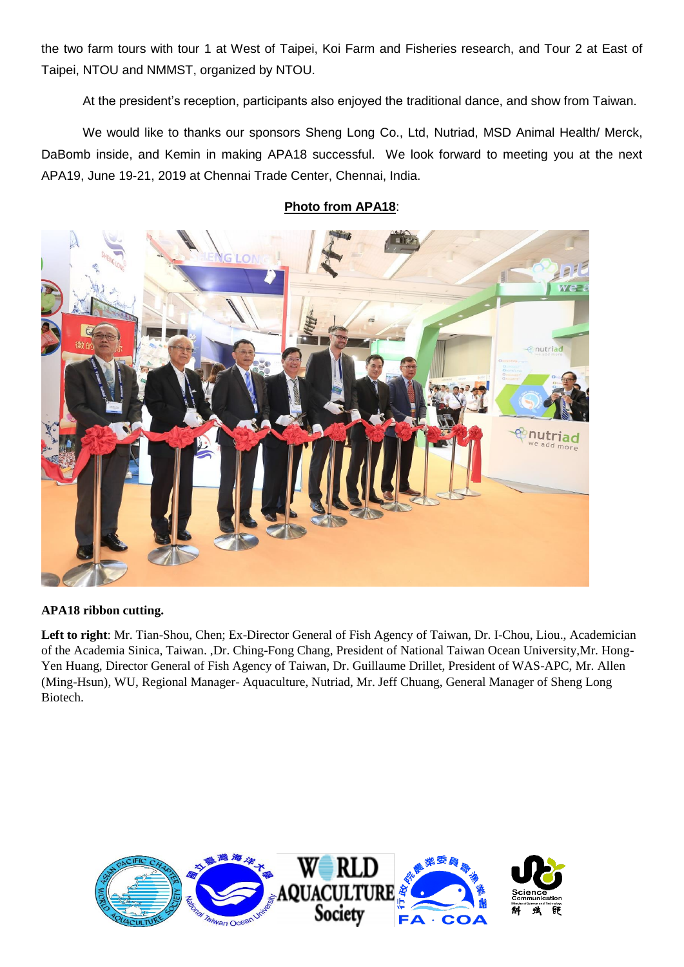the two farm tours with tour 1 at West of Taipei, Koi Farm and Fisheries research, and Tour 2 at East of Taipei, NTOU and NMMST, organized by NTOU.

At the president's reception, participants also enjoyed the traditional dance, and show from Taiwan.

We would like to thanks our sponsors Sheng Long Co., Ltd, Nutriad, MSD Animal Health/ Merck, DaBomb inside, and Kemin in making APA18 successful. We look forward to meeting you at the next APA19, June 19-21, 2019 at Chennai Trade Center, Chennai, India.



#### **Photo from APA18**:

#### **APA18 ribbon cutting.**

**Left to right**: Mr. Tian-Shou, Chen; Ex-Director General of Fish Agency of Taiwan, Dr. I-Chou, Liou., Academician of the Academia Sinica, Taiwan. ,Dr. Ching-Fong Chang, President of National Taiwan Ocean University,Mr. Hong-Yen Huang, Director General of Fish Agency of Taiwan, Dr. Guillaume Drillet, President of WAS-APC, Mr. Allen (Ming-Hsun), WU, Regional Manager- Aquaculture, Nutriad, Mr. Jeff Chuang, General Manager of Sheng Long Biotech.

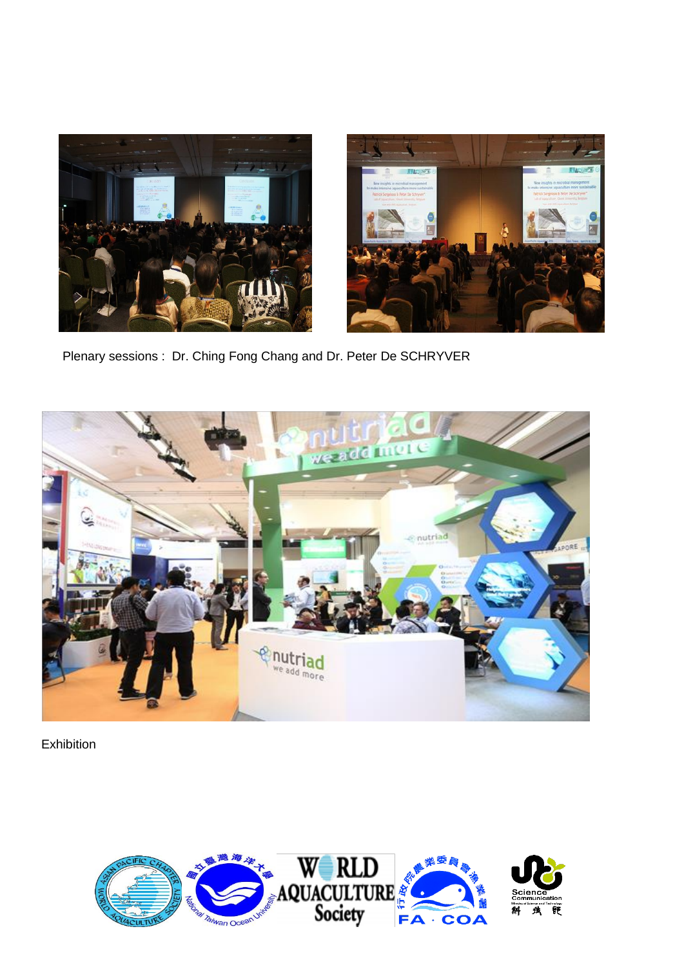



Plenary sessions : Dr. Ching Fong Chang and Dr. Peter De SCHRYVER



Exhibition

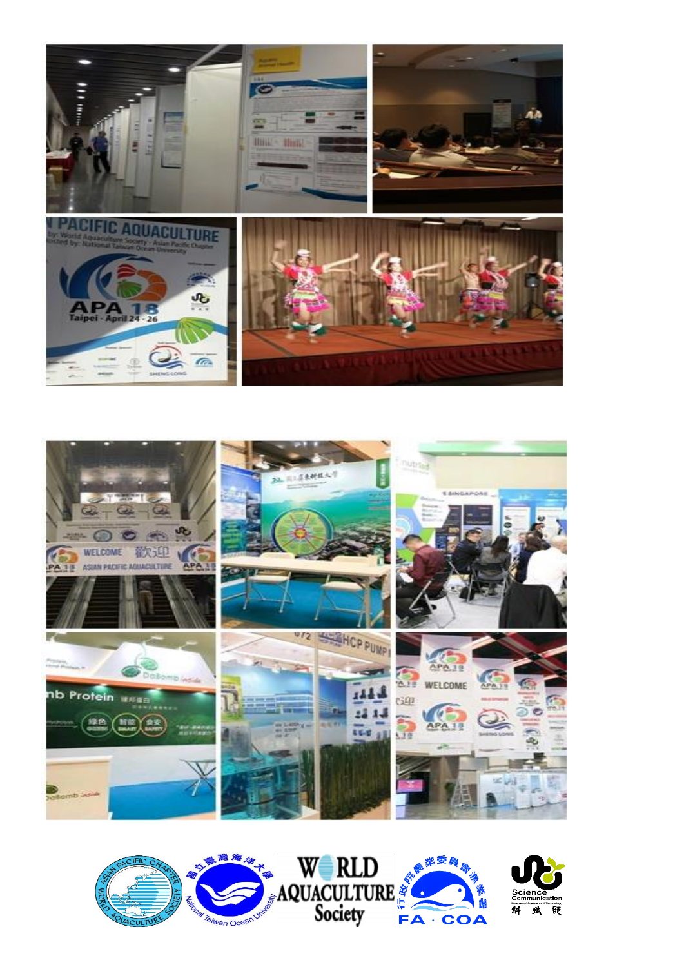